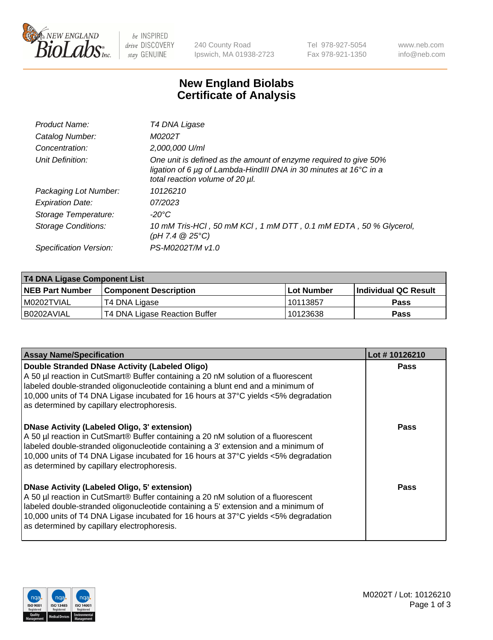

be INSPIRED drive DISCOVERY stay GENUINE

240 County Road Ipswich, MA 01938-2723 Tel 978-927-5054 Fax 978-921-1350 www.neb.com info@neb.com

## **New England Biolabs Certificate of Analysis**

| Product Name:           | T4 DNA Ligase                                                                                                                                                            |
|-------------------------|--------------------------------------------------------------------------------------------------------------------------------------------------------------------------|
| Catalog Number:         | M0202T                                                                                                                                                                   |
| Concentration:          | 2,000,000 U/ml                                                                                                                                                           |
| Unit Definition:        | One unit is defined as the amount of enzyme required to give 50%<br>ligation of 6 µg of Lambda-HindIII DNA in 30 minutes at 16°C in a<br>total reaction volume of 20 µl. |
| Packaging Lot Number:   | 10126210                                                                                                                                                                 |
| <b>Expiration Date:</b> | 07/2023                                                                                                                                                                  |
| Storage Temperature:    | -20°C                                                                                                                                                                    |
| Storage Conditions:     | 10 mM Tris-HCl, 50 mM KCl, 1 mM DTT, 0.1 mM EDTA, 50 % Glycerol,<br>$(pH 7.4 \ @ 25^{\circ}C)$                                                                           |
| Specification Version:  | PS-M0202T/M v1.0                                                                                                                                                         |

| T4 DNA Ligase Component List |                               |              |                             |  |
|------------------------------|-------------------------------|--------------|-----------------------------|--|
| <b>NEB Part Number</b>       | l Component Description       | l Lot Number | <b>Individual QC Result</b> |  |
| I M0202TVIAL                 | T4 DNA Ligase                 | 10113857     | <b>Pass</b>                 |  |
| I B0202AVIAL                 | T4 DNA Ligase Reaction Buffer | 10123638     | <b>Pass</b>                 |  |

| <b>Assay Name/Specification</b>                                                                                                                                                                                                                                                                                                                                      | Lot #10126210 |
|----------------------------------------------------------------------------------------------------------------------------------------------------------------------------------------------------------------------------------------------------------------------------------------------------------------------------------------------------------------------|---------------|
| Double Stranded DNase Activity (Labeled Oligo)<br>A 50 µl reaction in CutSmart® Buffer containing a 20 nM solution of a fluorescent<br>labeled double-stranded oligonucleotide containing a blunt end and a minimum of<br>10,000 units of T4 DNA Ligase incubated for 16 hours at 37°C yields <5% degradation<br>as determined by capillary electrophoresis.         | <b>Pass</b>   |
| DNase Activity (Labeled Oligo, 3' extension)<br>A 50 µl reaction in CutSmart® Buffer containing a 20 nM solution of a fluorescent<br>labeled double-stranded oligonucleotide containing a 3' extension and a minimum of<br>10,000 units of T4 DNA Ligase incubated for 16 hours at 37°C yields <5% degradation<br>as determined by capillary electrophoresis.        | <b>Pass</b>   |
| <b>DNase Activity (Labeled Oligo, 5' extension)</b><br>A 50 µl reaction in CutSmart® Buffer containing a 20 nM solution of a fluorescent<br>labeled double-stranded oligonucleotide containing a 5' extension and a minimum of<br>10,000 units of T4 DNA Ligase incubated for 16 hours at 37°C yields <5% degradation<br>as determined by capillary electrophoresis. | Pass          |

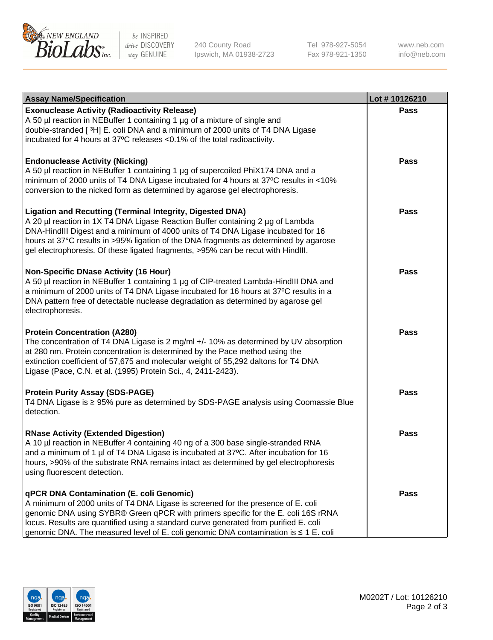

be INSPIRED drive DISCOVERY stay GENUINE

240 County Road Ipswich, MA 01938-2723 Tel 978-927-5054 Fax 978-921-1350

www.neb.com info@neb.com

| <b>Assay Name/Specification</b>                                                                                                                                                                                                                                                                                                                                                                                    | Lot #10126210 |
|--------------------------------------------------------------------------------------------------------------------------------------------------------------------------------------------------------------------------------------------------------------------------------------------------------------------------------------------------------------------------------------------------------------------|---------------|
| <b>Exonuclease Activity (Radioactivity Release)</b><br>A 50 µl reaction in NEBuffer 1 containing 1 µg of a mixture of single and<br>double-stranded [3H] E. coli DNA and a minimum of 2000 units of T4 DNA Ligase<br>incubated for 4 hours at 37°C releases <0.1% of the total radioactivity.                                                                                                                      | <b>Pass</b>   |
| <b>Endonuclease Activity (Nicking)</b><br>A 50 µl reaction in NEBuffer 1 containing 1 µg of supercoiled PhiX174 DNA and a<br>minimum of 2000 units of T4 DNA Ligase incubated for 4 hours at 37°C results in <10%<br>conversion to the nicked form as determined by agarose gel electrophoresis.                                                                                                                   | <b>Pass</b>   |
| <b>Ligation and Recutting (Terminal Integrity, Digested DNA)</b><br>A 20 µl reaction in 1X T4 DNA Ligase Reaction Buffer containing 2 µg of Lambda<br>DNA-HindIII Digest and a minimum of 4000 units of T4 DNA Ligase incubated for 16<br>hours at 37°C results in >95% ligation of the DNA fragments as determined by agarose<br>gel electrophoresis. Of these ligated fragments, >95% can be recut with HindIII. | <b>Pass</b>   |
| <b>Non-Specific DNase Activity (16 Hour)</b><br>A 50 µl reaction in NEBuffer 1 containing 1 µg of CIP-treated Lambda-HindIII DNA and<br>a minimum of 2000 units of T4 DNA Ligase incubated for 16 hours at 37°C results in a<br>DNA pattern free of detectable nuclease degradation as determined by agarose gel<br>electrophoresis.                                                                               | <b>Pass</b>   |
| <b>Protein Concentration (A280)</b><br>The concentration of T4 DNA Ligase is 2 mg/ml +/- 10% as determined by UV absorption<br>at 280 nm. Protein concentration is determined by the Pace method using the<br>extinction coefficient of 57,675 and molecular weight of 55,292 daltons for T4 DNA<br>Ligase (Pace, C.N. et al. (1995) Protein Sci., 4, 2411-2423).                                                  | <b>Pass</b>   |
| <b>Protein Purity Assay (SDS-PAGE)</b><br>T4 DNA Ligase is ≥ 95% pure as determined by SDS-PAGE analysis using Coomassie Blue<br>detection.                                                                                                                                                                                                                                                                        | <b>Pass</b>   |
| <b>RNase Activity (Extended Digestion)</b><br>A 10 µl reaction in NEBuffer 4 containing 40 ng of a 300 base single-stranded RNA<br>and a minimum of 1 µl of T4 DNA Ligase is incubated at 37°C. After incubation for 16<br>hours, >90% of the substrate RNA remains intact as determined by gel electrophoresis<br>using fluorescent detection.                                                                    | Pass          |
| qPCR DNA Contamination (E. coli Genomic)<br>A minimum of 2000 units of T4 DNA Ligase is screened for the presence of E. coli<br>genomic DNA using SYBR® Green qPCR with primers specific for the E. coli 16S rRNA<br>locus. Results are quantified using a standard curve generated from purified E. coli<br>genomic DNA. The measured level of E. coli genomic DNA contamination is ≤ 1 E. coli                   | <b>Pass</b>   |